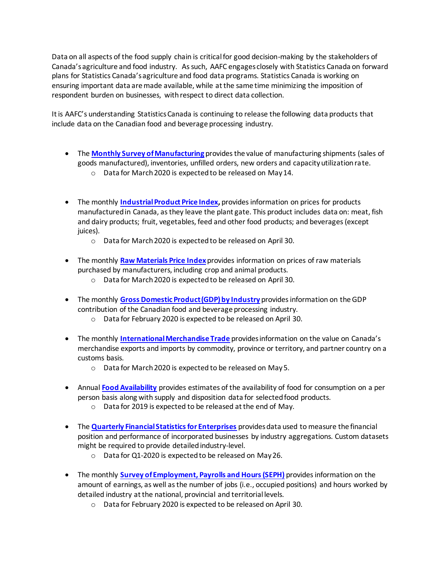Data on all aspects of the food supply chain is critical for good decision-making by the stakeholders of Canada's agriculture and food industry. As such, AAFC engages closely with Statistics Canada on forward plans for Statistics Canada's agriculture and food data programs. Statistics Canada is working on ensuring important data are made available, while at the same time minimizing the imposition of respondent burden on businesses, with respect to direct data collection.

It is AAFC's understanding Statistics Canada is continuing to release the following data products that include data on the Canadian food and beverage processing industry.

- The **[Monthly Survey of Manufacturing](https://www150.statcan.gc.ca/n1/daily-quotidien/200416/dq200416a-eng.htm)** provides the value of manufacturing shipments (sales of goods manufactured), inventories, unfilled orders, new orders and capacity utilization rate.
	- o Data for March 2020 is expected to be released on May 14.
- The monthly **[Industrial Product Price Index,](https://www150.statcan.gc.ca/n1/daily-quotidien/200331/dq200331b-eng.htm)** provides information on prices for products manufactured in Canada, as they leave the plant gate. This product includes data on: meat, fish and dairy products; fruit, vegetables, feed and other food products; and beverages (except juices).
	- o Data for March 2020 is expected to be released on April 30.
- The monthly **[Raw Materials Price Index](https://www150.statcan.gc.ca/n1/daily-quotidien/200331/dq200331b-eng.htm)** provides information on prices of raw materials purchased by manufacturers, including crop and animal products.
	- o Data for March 2020 is expected to be released on April 30.
- The monthly **[Gross Domestic Product \(GDP\) by Industry](https://www150.statcan.gc.ca/n1/daily-quotidien/200331/dq200331a-eng.htm)** provides information on the GDP contribution of the Canadian food and beverage processing industry.
	- o Data for February 2020 is expected to be released on April 30.
- The monthly **[International Merchandise Trade](https://www150.statcan.gc.ca/n1/daily-quotidien/200402/dq200402a-eng.htm?HPA=1&indid=3612-3&indgeo=0)** provides information on the value on Canada's merchandise exports and imports by commodity, province or territory, and partner country on a customs basis.
	- o Data for March 2020 is expected to be released on May 5.
- Annual **[Food Availability](https://www150.statcan.gc.ca/n1/daily-quotidien/190530/dq190530e-eng.htm)** provides estimates of the availability of food for consumption on a per person basis along with supply and disposition data for selected food products.
	- o Data for 2019 is expected to be released at the end of May.
- The **[Quarterly Financial Statistics for Enterprises](https://www150.statcan.gc.ca/n1/daily-quotidien/200225/dq200225a-eng.htm)** provides data used to measure the financial position and performance of incorporated businesses by industry aggregations. Custom datasets might be required to provide detailed industry-level.
	- o Data for Q1-2020 is expected to be released on May 26.
- The monthly **[Survey of Employment, Payrolls and Hours \(SEPH\)](https://www150.statcan.gc.ca/n1/daily-quotidien/200327/dq200327a-eng.htm)** provides information on the amount of earnings, as well as the number of jobs (i.e., occupied positions) and hours worked by detailed industry at the national, provincial and territorial levels.
	- o Data for February 2020 is expected to be released on April 30.